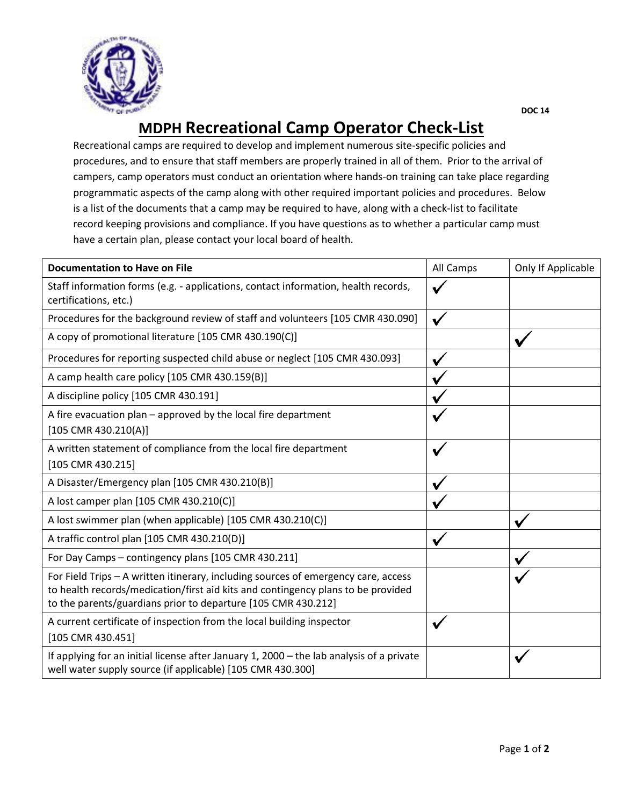

## **MDPH Recreational Camp Operator Check-List**

Recreational camps are required to develop and implement numerous site-specific policies and procedures, and to ensure that staff members are properly trained in all of them. Prior to the arrival of campers, camp operators must conduct an orientation where hands-on training can take place regarding programmatic aspects of the camp along with other required important policies and procedures. Below is a list of the documents that a camp may be required to have, along with a check-list to facilitate record keeping provisions and compliance. If you have questions as to whether a particular camp must have a certain plan, please contact your local board of health.

| <b>Documentation to Have on File</b>                                                                                                                                                                                                    | All Camps | Only If Applicable |
|-----------------------------------------------------------------------------------------------------------------------------------------------------------------------------------------------------------------------------------------|-----------|--------------------|
| Staff information forms (e.g. - applications, contact information, health records,<br>certifications, etc.)                                                                                                                             |           |                    |
| Procedures for the background review of staff and volunteers [105 CMR 430.090]                                                                                                                                                          |           |                    |
| A copy of promotional literature [105 CMR 430.190(C)]                                                                                                                                                                                   |           |                    |
| Procedures for reporting suspected child abuse or neglect [105 CMR 430.093]                                                                                                                                                             |           |                    |
| A camp health care policy [105 CMR 430.159(B)]                                                                                                                                                                                          |           |                    |
| A discipline policy [105 CMR 430.191]                                                                                                                                                                                                   |           |                    |
| A fire evacuation plan - approved by the local fire department<br>$[105$ CMR 430.210(A)]                                                                                                                                                |           |                    |
| A written statement of compliance from the local fire department<br>[105 CMR 430.215]                                                                                                                                                   | V         |                    |
| A Disaster/Emergency plan [105 CMR 430.210(B)]                                                                                                                                                                                          |           |                    |
| A lost camper plan [105 CMR 430.210(C)]                                                                                                                                                                                                 |           |                    |
| A lost swimmer plan (when applicable) [105 CMR 430.210(C)]                                                                                                                                                                              |           |                    |
| A traffic control plan [105 CMR 430.210(D)]                                                                                                                                                                                             |           |                    |
| For Day Camps - contingency plans [105 CMR 430.211]                                                                                                                                                                                     |           |                    |
| For Field Trips - A written itinerary, including sources of emergency care, access<br>to health records/medication/first aid kits and contingency plans to be provided<br>to the parents/guardians prior to departure [105 CMR 430.212] |           |                    |
| A current certificate of inspection from the local building inspector<br>[105 CMR 430.451]                                                                                                                                              |           |                    |
| If applying for an initial license after January 1, 2000 - the lab analysis of a private<br>well water supply source (if applicable) [105 CMR 430.300]                                                                                  |           |                    |